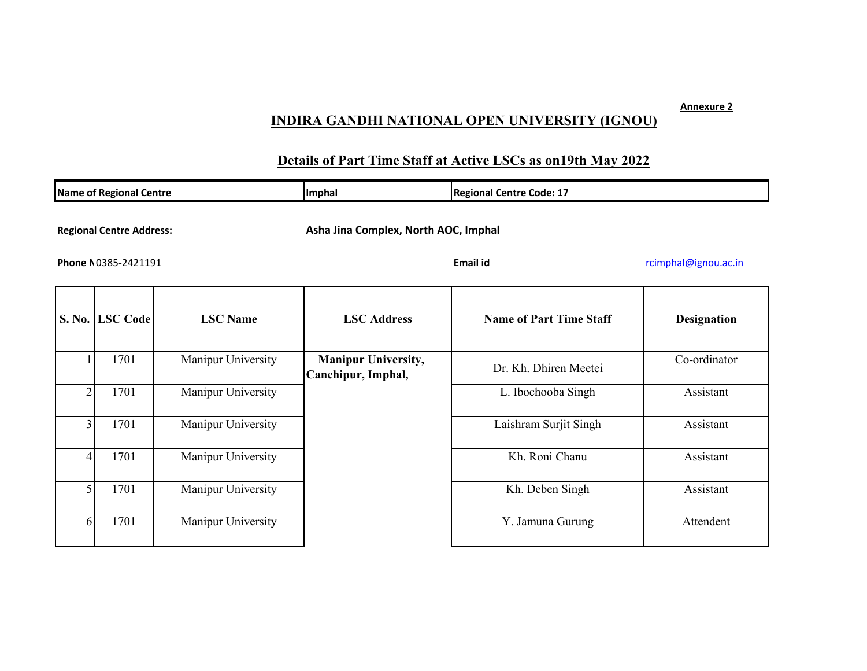## **INDIRA GANDHI NATIONAL OPEN UNIVERSITY (IGNOU)**

## **Details of Part Time Staff at Active LSCs as on19th May 2022**

| <b>Name of Regional Centre</b>                         |                 |                    | Imphal                                                                   | <b>Regional Centre Code: 17</b> |                    |
|--------------------------------------------------------|-----------------|--------------------|--------------------------------------------------------------------------|---------------------------------|--------------------|
| <b>Regional Centre Address:</b><br>Phone N0385-2421191 |                 |                    | Asha Jina Complex, North AOC, Imphal<br>Email id<br>rcimphal@ignou.ac.in |                                 |                    |
|                                                        | S. No. LSC Code | <b>LSC</b> Name    | <b>LSC</b> Address                                                       | <b>Name of Part Time Staff</b>  | <b>Designation</b> |
|                                                        | 1701            | Manipur University | <b>Manipur University,</b><br>Canchipur, Imphal,                         | Dr. Kh. Dhiren Meetei           | Co-ordinator       |
| $\overline{2}$                                         | 1701            | Manipur University |                                                                          | L. Ibochooba Singh              | Assistant          |
| 3                                                      | 1701            | Manipur University |                                                                          | Laishram Surjit Singh           | Assistant          |
|                                                        | 1701            | Manipur University |                                                                          | Kh. Roni Chanu                  | Assistant          |
|                                                        | 1701            | Manipur University |                                                                          | Kh. Deben Singh                 | Assistant          |
| 61                                                     | 1701            | Manipur University |                                                                          | Y. Jamuna Gurung                | Attendent          |

**Annexure 2**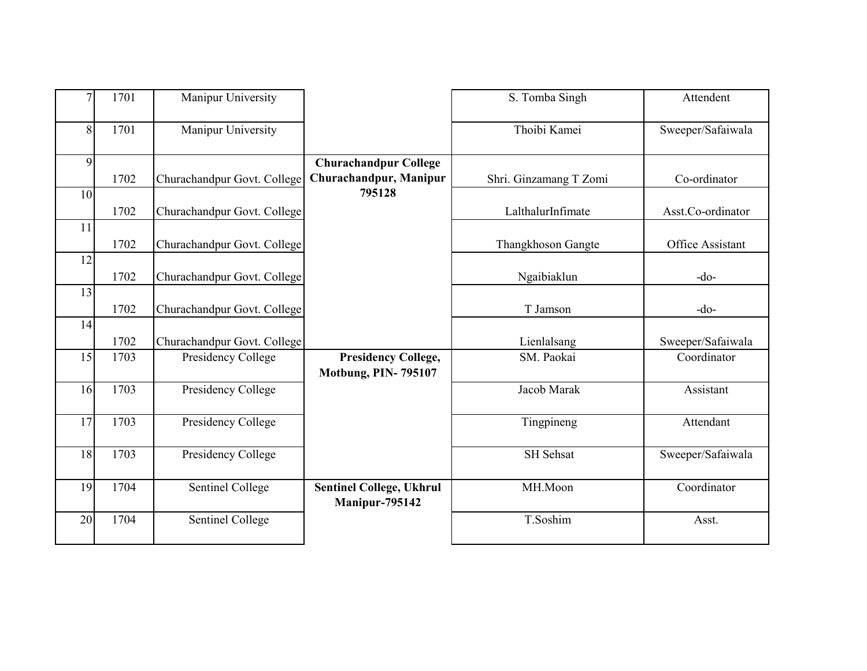| $\overline{7}$ | 1701 | Manipur University          |                                                          | S. Tomba Singh         | Attendent         |
|----------------|------|-----------------------------|----------------------------------------------------------|------------------------|-------------------|
| 8              | 1701 | Manipur University          |                                                          | Thoibi Kamei           | Sweeper/Safaiwala |
| 9              |      |                             | <b>Churachandpur College</b>                             |                        |                   |
|                | 1702 | Churachandpur Govt. College | Churachandpur, Manipur                                   | Shri. Ginzamang T Zomi | Co-ordinator      |
| 10             |      |                             | 795128                                                   |                        |                   |
|                | 1702 | Churachandpur Govt. College |                                                          | LalthalurInfimate      | Asst.Co-ordinator |
| 11             | 1702 | Churachandpur Govt. College |                                                          | Thangkhoson Gangte     | Office Assistant  |
| 12             |      |                             |                                                          |                        |                   |
|                | 1702 | Churachandpur Govt. College |                                                          | Ngaibiaklun            | $-do-$            |
| 13             |      |                             |                                                          |                        |                   |
|                | 1702 | Churachandpur Govt. College |                                                          | T Jamson               | $-do-$            |
| 14             |      |                             |                                                          |                        |                   |
|                | 1702 | Churachandpur Govt. College |                                                          | Lienlalsang            | Sweeper/Safaiwala |
| 15             | 1703 | Presidency College          | <b>Presidency College,</b><br><b>Motbung, PIN-795107</b> | SM. Paokai             | Coordinator       |
| 16             | 1703 | Presidency College          |                                                          | Jacob Marak            | Assistant         |
| 17             | 1703 | Presidency College          |                                                          | Tingpineng             | Attendant         |
| 18             | 1703 | Presidency College          |                                                          | SH Sehsat              | Sweeper/Safaiwala |
| 19             | 1704 | Sentinel College            | <b>Sentinel College, Ukhrul</b><br>Manipur-795142        | MH.Moon                | Coordinator       |
| 20             | 1704 | Sentinel College            |                                                          | T.Soshim               | Asst.             |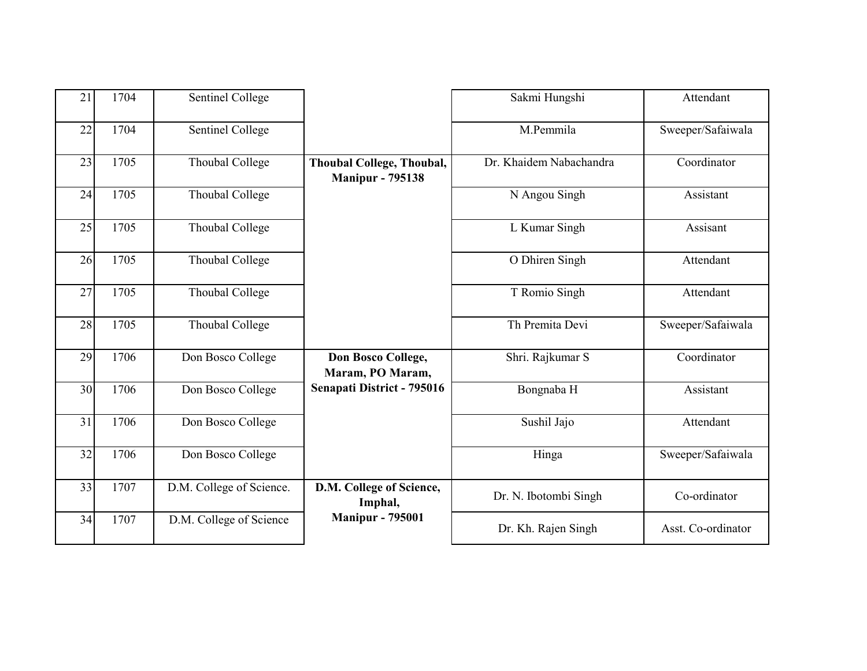| 21 | 1704 | Sentinel College         |                                                             | Sakmi Hungshi           | Attendant          |
|----|------|--------------------------|-------------------------------------------------------------|-------------------------|--------------------|
| 22 | 1704 | Sentinel College         |                                                             | M.Pemmila               | Sweeper/Safaiwala  |
| 23 | 1705 | Thoubal College          | <b>Thoubal College, Thoubal,</b><br><b>Manipur - 795138</b> | Dr. Khaidem Nabachandra | Coordinator        |
| 24 | 1705 | Thoubal College          |                                                             | N Angou Singh           | Assistant          |
| 25 | 1705 | Thoubal College          |                                                             | L Kumar Singh           | Assisant           |
| 26 | 1705 | Thoubal College          |                                                             | O Dhiren Singh          | Attendant          |
| 27 | 1705 | Thoubal College          |                                                             | T Romio Singh           | Attendant          |
| 28 | 1705 | Thoubal College          |                                                             | Th Premita Devi         | Sweeper/Safaiwala  |
| 29 | 1706 | Don Bosco College        | Don Bosco College,<br>Maram, PO Maram,                      | Shri. Rajkumar S        | Coordinator        |
| 30 | 1706 | Don Bosco College        | Senapati District - 795016                                  | Bongnaba H              | Assistant          |
| 31 | 1706 | Don Bosco College        |                                                             | Sushil Jajo             | Attendant          |
| 32 | 1706 | Don Bosco College        |                                                             | Hinga                   | Sweeper/Safaiwala  |
| 33 | 1707 | D.M. College of Science. | D.M. College of Science,<br>Imphal,                         | Dr. N. Ibotombi Singh   | Co-ordinator       |
| 34 | 1707 | D.M. College of Science  | <b>Manipur - 795001</b>                                     | Dr. Kh. Rajen Singh     | Asst. Co-ordinator |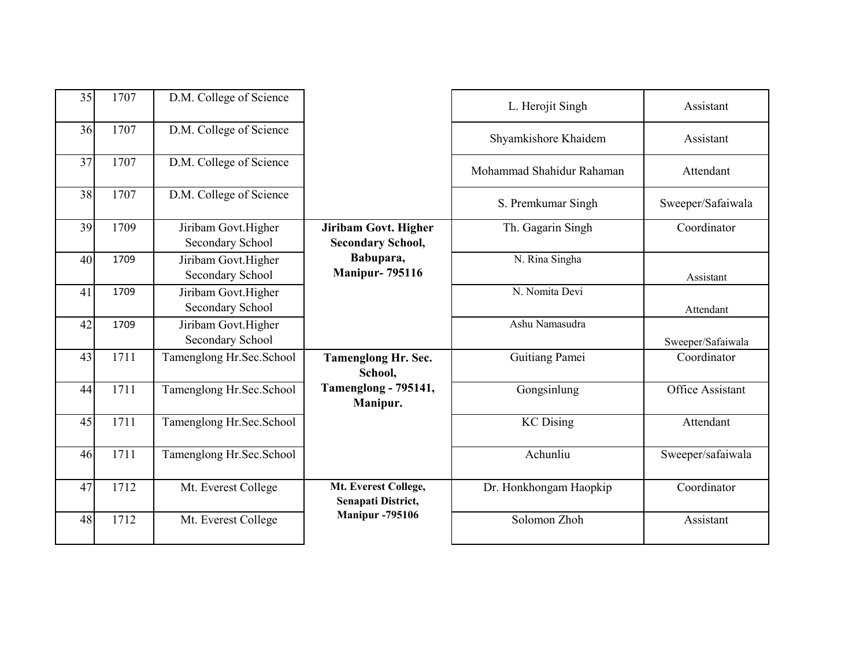| 35 | 1707 | D.M. College of Science                 |                                                         | L. Herojit Singh          | Assistant         |
|----|------|-----------------------------------------|---------------------------------------------------------|---------------------------|-------------------|
| 36 | 1707 | D.M. College of Science                 |                                                         | Shyamkishore Khaidem      | Assistant         |
| 37 | 1707 | D.M. College of Science                 |                                                         | Mohammad Shahidur Rahaman | Attendant         |
| 38 | 1707 | D.M. College of Science                 |                                                         | S. Premkumar Singh        | Sweeper/Safaiwala |
| 39 | 1709 | Jiribam Govt.Higher<br>Secondary School | <b>Jiribam Govt. Higher</b><br><b>Secondary School,</b> | Th. Gagarin Singh         | Coordinator       |
| 40 | 1709 | Jiribam Govt.Higher<br>Secondary School | Babupara,<br><b>Manipur-795116</b>                      | N. Rina Singha            | Assistant         |
| 41 | 1709 | Jiribam Govt.Higher<br>Secondary School |                                                         | N. Nomita Devi            | Attendant         |
| 42 | 1709 | Jiribam Govt.Higher<br>Secondary School |                                                         | Ashu Namasudra            | Sweeper/Safaiwala |
| 43 | 1711 | Tamenglong Hr.Sec.School                | <b>Tamenglong Hr. Sec.</b><br>School,                   | Guitiang Pamei            | Coordinator       |
| 44 | 1711 | Tamenglong Hr.Sec.School                | <b>Tamenglong - 795141,</b><br>Manipur.                 | Gongsinlung               | Office Assistant  |
| 45 | 1711 | Tamenglong Hr.Sec.School                |                                                         | <b>KC</b> Dising          | Attendant         |
| 46 | 1711 | Tamenglong Hr.Sec.School                |                                                         | Achunliu                  | Sweeper/safaiwala |
| 47 | 1712 | Mt. Everest College                     | Mt. Everest College,<br>Senapati District,              | Dr. Honkhongam Haopkip    | Coordinator       |
| 48 | 1712 | Mt. Everest College                     | <b>Manipur</b> - 795106                                 | Solomon Zhoh              | Assistant         |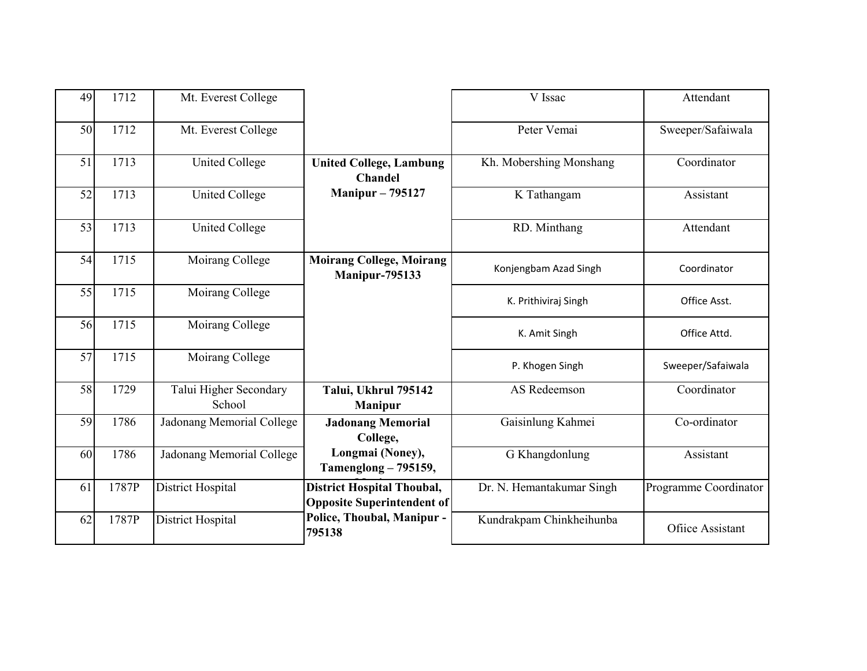| 49 | 1712  | Mt. Everest College              |                                                                        | V Issac                   | Attendant             |
|----|-------|----------------------------------|------------------------------------------------------------------------|---------------------------|-----------------------|
| 50 | 1712  | Mt. Everest College              |                                                                        | Peter Vemai               | Sweeper/Safaiwala     |
| 51 | 1713  | <b>United College</b>            | <b>United College, Lambung</b><br><b>Chandel</b>                       | Kh. Mobershing Monshang   | Coordinator           |
| 52 | 1713  | <b>United College</b>            | <b>Manipur - 795127</b>                                                | K Tathangam               | Assistant             |
| 53 | 1713  | <b>United College</b>            |                                                                        | RD. Minthang              | Attendant             |
| 54 | 1715  | Moirang College                  | <b>Moirang College, Moirang</b><br><b>Manipur-795133</b>               | Konjengbam Azad Singh     | Coordinator           |
| 55 | 1715  | Moirang College                  |                                                                        | K. Prithiviraj Singh      | Office Asst.          |
| 56 | 1715  | Moirang College                  |                                                                        | K. Amit Singh             | Office Attd.          |
| 57 | 1715  | Moirang College                  |                                                                        | P. Khogen Singh           | Sweeper/Safaiwala     |
| 58 | 1729  | Talui Higher Secondary<br>School | Talui, Ukhrul 795142<br><b>Manipur</b>                                 | AS Redeemson              | Coordinator           |
| 59 | 1786  | Jadonang Memorial College        | <b>Jadonang Memorial</b><br>College,                                   | Gaisinlung Kahmei         | Co-ordinator          |
| 60 | 1786  | Jadonang Memorial College        | Longmai (Noney),<br>Tamenglong - 795159,                               | G Khangdonlung            | Assistant             |
| 61 | 1787P | District Hospital                | <b>District Hospital Thoubal,</b><br><b>Opposite Superintendent of</b> | Dr. N. Hemantakumar Singh | Programme Coordinator |
| 62 | 1787P | District Hospital                | Police, Thoubal, Manipur -<br>795138                                   | Kundrakpam Chinkheihunba  | Ofiice Assistant      |